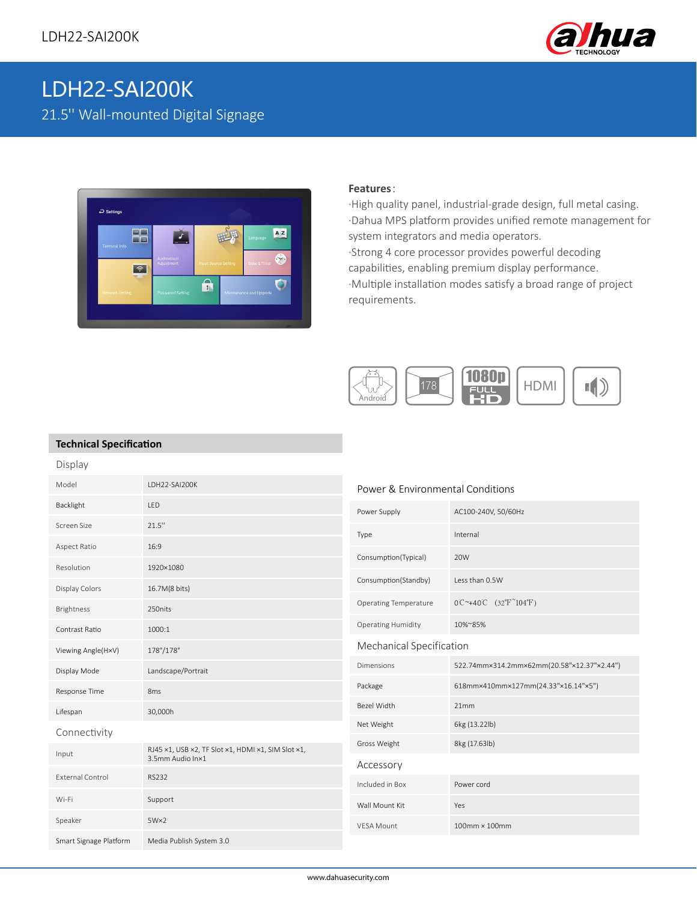

# LDH22-SAI200K 21.5'' Wall-mounted Digital Signage



#### **Features**:

·High quality panel, industrial-grade design, full metal casing. ·Dahua MPS platform provides unified remote management for system integrators and media operators. ·Strong 4 core processor provides powerful decoding capabilities, enabling premium display performance. ·Multiple installation modes satisfy a broad range of project requirements.



### **Technical Specification**

| Display                 |                                                                        |                                  |                                                                       |
|-------------------------|------------------------------------------------------------------------|----------------------------------|-----------------------------------------------------------------------|
| Model                   | LDH22-SAI200K                                                          | Power & Environmental Conditions |                                                                       |
| Backlight               | <b>LED</b>                                                             | Power Supply                     | AC100-240V, 50/60Hz                                                   |
| Screen Size             | 21.5"                                                                  | Type                             | Internal                                                              |
| Aspect Ratio            | 16:9                                                                   | Consumption(Typical)             | 20W                                                                   |
| Resolution              | 1920×1080                                                              |                                  |                                                                       |
| Display Colors          | 16.7M(8 bits)                                                          | Consumption(Standby)             | Less than 0.5W                                                        |
| <b>Brightness</b>       | 250nits                                                                | <b>Operating Temperature</b>     | $0^{\circ}$ +40°C $(32^{\circ}$ F <sup><math>\sim</math></sup> 104°F) |
| Contrast Ratio          | 1000:1                                                                 | <b>Operating Humidity</b>        | 10%~85%                                                               |
| Viewing Angle(H×V)      | 178°/178°                                                              | Mechanical Specification         |                                                                       |
| Display Mode            | Landscape/Portrait                                                     | <b>Dimensions</b>                | 522.74mm×314.2mm×62mm(20.58"×12.37"×2.44")                            |
| Response Time           | 8 <sub>ms</sub>                                                        | Package                          | 618mm×410mm×127mm(24.33"×16.14"×5")                                   |
| Lifespan                | 30,000h                                                                | Bezel Width                      | 21mm                                                                  |
| Connectivity            |                                                                        | Net Weight                       | 6kg (13.22lb)                                                         |
| Input                   | RJ45 x1, USB x2, TF Slot x1, HDMI x1, SIM Slot x1,<br>3.5mm Audio In×1 | Gross Weight                     | 8kg (17.63lb)                                                         |
|                         |                                                                        | Accessory                        |                                                                       |
| <b>External Control</b> | <b>RS232</b>                                                           | Included in Box                  | Power cord                                                            |
| Wi-Fi                   | Support                                                                | Wall Mount Kit                   | Yes                                                                   |
| Speaker                 | $5W\times2$                                                            | <b>VESA Mount</b>                | 100mm × 100mm                                                         |
| Smart Signage Platform  | Media Publish System 3.0                                               |                                  |                                                                       |